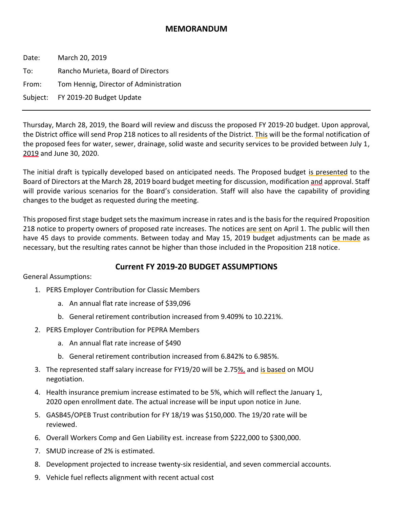## **MEMORANDUM**

Date: March 20, 2019 To: Rancho Murieta, Board of Directors From: Tom Hennig, Director of Administration Subject: FY 2019-20 Budget Update

Thursday, March 28, 2019, the Board will review and discuss the proposed FY 2019-20 budget. Upon approval, the District office will send Prop 218 notices to all residents of the District. This will be the formal notification of the proposed fees for water, sewer, drainage, solid waste and security services to be provided between July 1, 2019 and June 30, 2020.

The initial draft is typically developed based on anticipated needs. The Proposed budget is presented to the Board of Directors at the March 28, 2019 board budget meeting for discussion, modification and approval. Staff will provide various scenarios for the Board's consideration. Staff will also have the capability of providing changes to the budget as requested during the meeting.

This proposed first stage budget sets the maximum increase in rates and is the basis for the required Proposition 218 notice to property owners of proposed rate increases. The notices are sent on April 1. The public will then have 45 days to provide comments. Between today and May 15, 2019 budget adjustments can be made as necessary, but the resulting rates cannot be higher than those included in the Proposition 218 notice.

## **Current FY 2019-20 BUDGET ASSUMPTIONS**

General Assumptions:

- 1. PERS Employer Contribution for Classic Members
	- a. An annual flat rate increase of \$39,096
	- b. General retirement contribution increased from 9.409% to 10.221%.
- 2. PERS Employer Contribution for PEPRA Members
	- a. An annual flat rate increase of \$490
	- b. General retirement contribution increased from 6.842% to 6.985%.
- 3. The represented staff salary increase for FY19/20 will be 2.75%, and is based on MOU negotiation.
- 4. Health insurance premium increase estimated to be 5%, which will reflect the January 1, 2020 open enrollment date. The actual increase will be input upon notice in June.
- 5. GASB45/OPEB Trust contribution for FY 18/19 was \$150,000. The 19/20 rate will be reviewed.
- 6. Overall Workers Comp and Gen Liability est. increase from \$222,000 to \$300,000.
- 7. SMUD increase of 2% is estimated.
- 8. Development projected to increase twenty-six residential, and seven commercial accounts.
- 9. Vehicle fuel reflects alignment with recent actual cost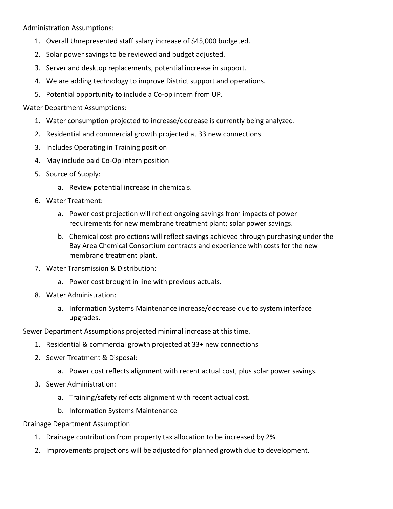Administration Assumptions:

- 1. Overall Unrepresented staff salary increase of \$45,000 budgeted.
- 2. Solar power savings to be reviewed and budget adjusted.
- 3. Server and desktop replacements, potential increase in support.
- 4. We are adding technology to improve District support and operations.
- 5. Potential opportunity to include a Co-op intern from UP.

## Water Department Assumptions:

- 1. Water consumption projected to increase/decrease is currently being analyzed.
- 2. Residential and commercial growth projected at 33 new connections
- 3. Includes Operating in Training position
- 4. May include paid Co-Op Intern position
- 5. Source of Supply:
	- a. Review potential increase in chemicals.
- 6. Water Treatment:
	- a. Power cost projection will reflect ongoing savings from impacts of power requirements for new membrane treatment plant; solar power savings.
	- b. Chemical cost projections will reflect savings achieved through purchasing under the Bay Area Chemical Consortium contracts and experience with costs for the new membrane treatment plant.
- 7. Water Transmission & Distribution:
	- a. Power cost brought in line with previous actuals.
- 8. Water Administration:
	- a. Information Systems Maintenance increase/decrease due to system interface upgrades.

Sewer Department Assumptions projected minimal increase at this time.

- 1. Residential & commercial growth projected at 33+ new connections
- 2. Sewer Treatment & Disposal:
	- a. Power cost reflects alignment with recent actual cost, plus solar power savings.
- 3. Sewer Administration:
	- a. Training/safety reflects alignment with recent actual cost.
	- b. Information Systems Maintenance

Drainage Department Assumption:

- 1. Drainage contribution from property tax allocation to be increased by 2%.
- 2. Improvements projections will be adjusted for planned growth due to development.